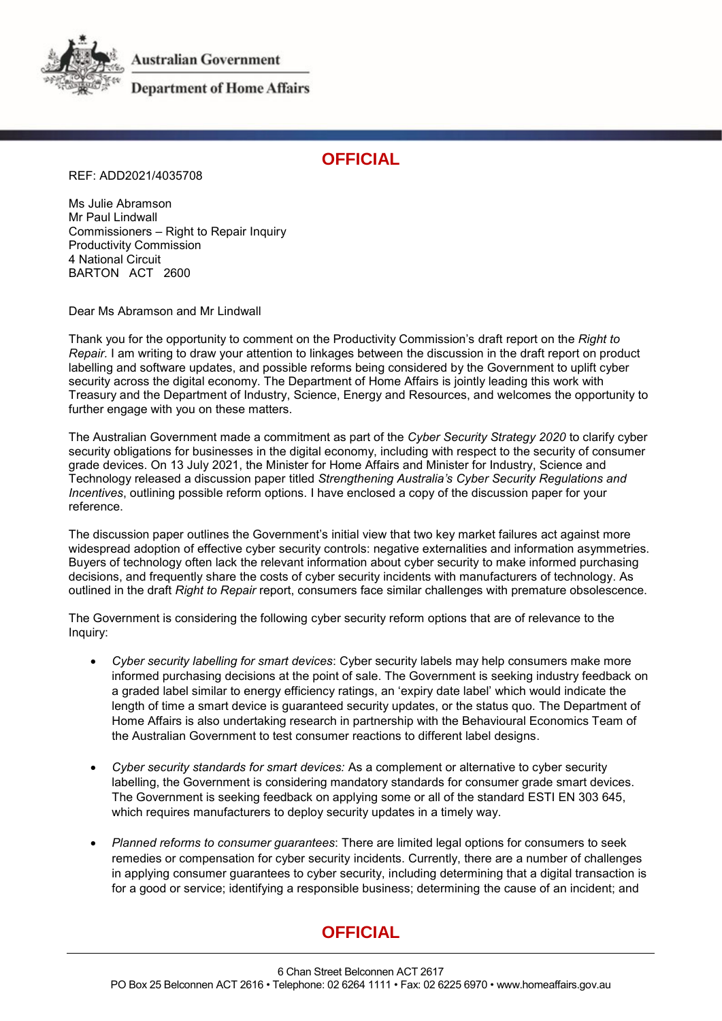**Australian Government** 



**Department of Home Affairs** 

## **OFFICIAL**

REF: ADD2021/4035708

Ms Julie Abramson Mr Paul Lindwall Commissioners – Right to Repair Inquiry Productivity Commission 4 National Circuit BARTON ACT 2600

Dear Ms Abramson and Mr Lindwall

Thank you for the opportunity to comment on the Productivity Commission's draft report on the *Right to Repair.* I am writing to draw your attention to linkages between the discussion in the draft report on product labelling and software updates, and possible reforms being considered by the Government to uplift cyber security across the digital economy. The Department of Home Affairs is jointly leading this work with Treasury and the Department of Industry, Science, Energy and Resources, and welcomes the opportunity to further engage with you on these matters.

The Australian Government made a commitment as part of the *Cyber Security Strategy 2020* to clarify cyber security obligations for businesses in the digital economy, including with respect to the security of consumer grade devices. On 13 July 2021, the Minister for Home Affairs and Minister for Industry, Science and Technology released a discussion paper titled *Strengthening Australia's Cyber Security Regulations and Incentives*, outlining possible reform options. I have enclosed a copy of the discussion paper for your reference.

The discussion paper outlines the Government's initial view that two key market failures act against more widespread adoption of effective cyber security controls: negative externalities and information asymmetries. Buyers of technology often lack the relevant information about cyber security to make informed purchasing decisions, and frequently share the costs of cyber security incidents with manufacturers of technology. As outlined in the draft *Right to Repair* report, consumers face similar challenges with premature obsolescence.

The Government is considering the following cyber security reform options that are of relevance to the Inquiry:

- *Cyber security labelling for smart devices*: Cyber security labels may help consumers make more informed purchasing decisions at the point of sale. The Government is seeking industry feedback on a graded label similar to energy efficiency ratings, an 'expiry date label' which would indicate the length of time a smart device is guaranteed security updates, or the status quo. The Department of Home Affairs is also undertaking research in partnership with the Behavioural Economics Team of the Australian Government to test consumer reactions to different label designs.
- *Cyber security standards for smart devices:* As a complement or alternative to cyber security labelling, the Government is considering mandatory standards for consumer grade smart devices. The Government is seeking feedback on applying some or all of the standard ESTI EN 303 645, which requires manufacturers to deploy security updates in a timely way.
- *Planned reforms to consumer guarantees*: There are limited legal options for consumers to seek remedies or compensation for cyber security incidents. Currently, there are a number of challenges in applying consumer guarantees to cyber security, including determining that a digital transaction is for a good or service; identifying a responsible business; determining the cause of an incident; and

## **OFFICIAL**